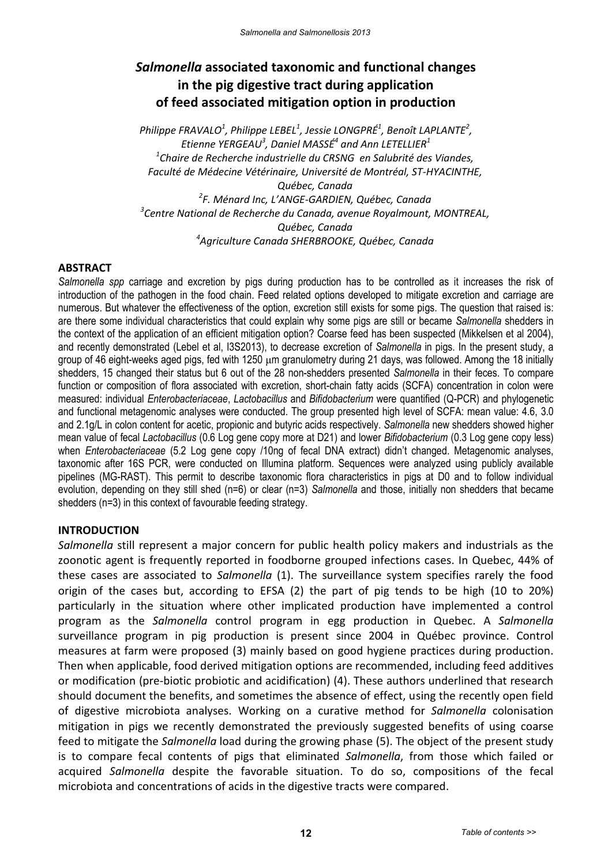# *Salmonella* **associated taxonomic and functional changes in the pig digestive tract during application of feed associated mitigation option in production**

*Philippe FRAVALO<sup>1</sup> , Philippe LEBEL<sup>1</sup> , Jessie LONGPRÉ<sup>1</sup> , Benoît LAPLANTE<sup>2</sup> , Etienne YERGEAU<sup>3</sup> , Daniel MASSÉ<sup>4</sup> and Ann LETELLIER<sup>1</sup> 1 Chaire de Recherche industrielle du CRSNG en Salubrité des Viandes, Faculté de Médecine Vétérinaire, Université de Montréal, ST-HYACINTHE, Québec, Canada 2 F. Ménard Inc, L'ANGE-GARDIEN, Québec, Canada 3 Centre National de Recherche du Canada, avenue Royalmount, MONTREAL, Québec, Canada 4 Agriculture Canada SHERBROOKE, Québec, Canada*

## **ABSTRACT**

*Salmonella spp* carriage and excretion by pigs during production has to be controlled as it increases the risk of introduction of the pathogen in the food chain. Feed related options developed to mitigate excretion and carriage are numerous. But whatever the effectiveness of the option, excretion still exists for some pigs. The question that raised is: are there some individual characteristics that could explain why some pigs are still or became *Salmonella* shedders in the context of the application of an efficient mitigation option? Coarse feed has been suspected (Mikkelsen et al 2004), and recently demonstrated (Lebel et al, I3S2013), to decrease excretion of *Salmonella* in pigs. In the present study, a group of 46 eight-weeks aged pigs, fed with 1250 μm granulometry during 21 days, was followed. Among the 18 initially shedders, 15 changed their status but 6 out of the 28 non-shedders presented *Salmonella* in their feces. To compare function or composition of flora associated with excretion, short-chain fatty acids (SCFA) concentration in colon were measured: individual *Enterobacteriaceae*, *Lactobacillus* and *Bifidobacterium* were quantified (Q-PCR) and phylogenetic and functional metagenomic analyses were conducted. The group presented high level of SCFA: mean value: 4.6, 3.0 and 2.1g/L in colon content for acetic, propionic and butyric acids respectively. *Salmonella* new shedders showed higher mean value of fecal *Lactobacillus* (0.6 Log gene copy more at D21) and lower *Bifidobacterium* (0.3 Log gene copy less) when *Enterobacteriaceae* (5.2 Log gene copy /10ng of fecal DNA extract) didn't changed. Metagenomic analyses, taxonomic after 16S PCR, were conducted on Illumina platform. Sequences were analyzed using publicly available pipelines (MG-RAST). This permit to describe taxonomic flora characteristics in pigs at D0 and to follow individual evolution, depending on they still shed (n=6) or clear (n=3) *Salmonella* and those, initially non shedders that became shedders (n=3) in this context of favourable feeding strategy.

## **INTRODUCTION**

*Salmonella* still represent a major concern for public health policy makers and industrials as the zoonotic agent is frequently reported in foodborne grouped infections cases. In Quebec, 44% of these cases are associated to *Salmonella* (1). The surveillance system specifies rarely the food origin of the cases but, according to EFSA (2) the part of pig tends to be high (10 to 20%) particularly in the situation where other implicated production have implemented a control program as the *Salmonella* control program in egg production in Quebec. A *Salmonella* surveillance program in pig production is present since 2004 in Québec province. Control measures at farm were proposed (3) mainly based on good hygiene practices during production. Then when applicable, food derived mitigation options are recommended, including feed additives or modification (pre-biotic probiotic and acidification) (4). These authors underlined that research should document the benefits, and sometimes the absence of effect, using the recently open field of digestive microbiota analyses. Working on a curative method for *Salmonella* colonisation mitigation in pigs we recently demonstrated the previously suggested benefits of using coarse feed to mitigate the *Salmonella* load during the growing phase (5). The object of the present study is to compare fecal contents of pigs that eliminated *Salmonella*, from those which failed or acquired *Salmonella* despite the favorable situation. To do so, compositions of the fecal microbiota and concentrations of acids in the digestive tracts were compared.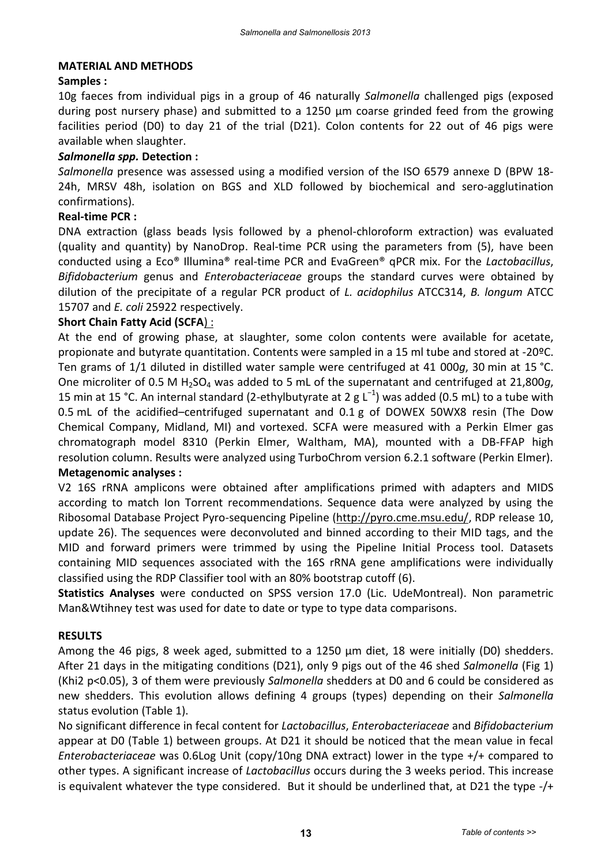#### **MATERIAL AND METHODS**

## **Samples :**

10g faeces from individual pigs in a group of 46 naturally *Salmonella* challenged pigs (exposed during post nursery phase) and submitted to a 1250 μm coarse grinded feed from the growing facilities period (D0) to day 21 of the trial (D21). Colon contents for 22 out of 46 pigs were available when slaughter.

#### *Salmonella spp.* **Detection :**

*Salmonella* presence was assessed using a modified version of the ISO 6579 annexe D (BPW 18- 24h, MRSV 48h, isolation on BGS and XLD followed by biochemical and sero-agglutination confirmations).

## **Real-time PCR :**

DNA extraction (glass beads lysis followed by a phenol-chloroform extraction) was evaluated (quality and quantity) by NanoDrop. Real-time PCR using the parameters from (5), have been conducted using a Eco® Illumina® real-time PCR and EvaGreen® qPCR mix. For the *Lactobacillus*, *Bifidobacterium* genus and *Enterobacteriaceae* groups the standard curves were obtained by dilution of the precipitate of a regular PCR product of *L. acidophilus* ATCC314, *B. longum* ATCC 15707 and *E. coli* 25922 respectively.

#### **Short Chain Fatty Acid (SCFA**) :

At the end of growing phase, at slaughter, some colon contents were available for acetate, propionate and butyrate quantitation. Contents were sampled in a 15 ml tube and stored at -20ºC. Ten grams of 1/1 diluted in distilled water sample were centrifuged at 41 000*g*, 30 min at 15 °C. One microliter of 0.5 M H2SO<sup>4</sup> was added to 5 mL of the supernatant and centrifuged at 21,800*g*, 15 min at 15 °C. An internal standard (2-ethylbutyrate at 2 g  $L^{-1}$ ) was added (0.5 mL) to a tube with 0.5 mL of the acidified–centrifuged supernatant and 0.1 g of DOWEX 50WX8 resin (The Dow Chemical Company, Midland, MI) and vortexed. SCFA were measured with a Perkin Elmer gas chromatograph model 8310 (Perkin Elmer, Waltham, MA), mounted with a DB-FFAP high resolution column. Results were analyzed using TurboChrom version 6.2.1 software (Perkin Elmer). **Metagenomic analyses :** 

V2 16S rRNA amplicons were obtained after amplifications primed with adapters and MIDS according to match Ion Torrent recommendations. Sequence data were analyzed by using the Ribosomal Database Project Pyro-sequencing Pipeline [\(http://pyro.cme.msu.edu/,](http://pyro.cme.msu.edu/) RDP release 10, update 26). The sequences were deconvoluted and binned according to their MID tags, and the MID and forward primers were trimmed by using the Pipeline Initial Process tool. Datasets containing MID sequences associated with the 16S rRNA gene amplifications were individually classified using the RDP Classifier tool with an 80% bootstrap cutoff (6).

**Statistics Analyses** were conducted on SPSS version 17.0 (Lic. UdeMontreal). Non parametric Man&Wtihney test was used for date to date or type to type data comparisons.

#### **RESULTS**

Among the 46 pigs, 8 week aged, submitted to a 1250 μm diet, 18 were initially (D0) shedders. After 21 days in the mitigating conditions (D21), only 9 pigs out of the 46 shed *Salmonella* (Fig 1) (Khi2 p<0.05), 3 of them were previously *Salmonella* shedders at D0 and 6 could be considered as new shedders. This evolution allows defining 4 groups (types) depending on their *Salmonella* status evolution (Table 1).

No significant difference in fecal content for *Lactobacillus*, *Enterobacteriaceae* and *Bifidobacterium* appear at D0 (Table 1) between groups. At D21 it should be noticed that the mean value in fecal *Enterobacteriaceae* was 0.6Log Unit (copy/10ng DNA extract) lower in the type +/+ compared to other types. A significant increase of *Lactobacillus* occurs during the 3 weeks period. This increase is equivalent whatever the type considered. But it should be underlined that, at D21 the type -/+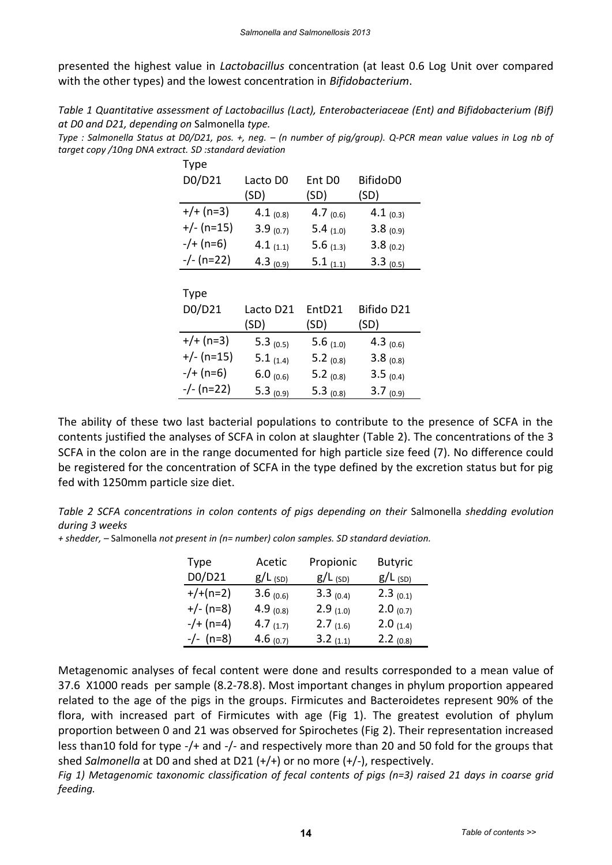presented the highest value in *Lactobacillus* concentration (at least 0.6 Log Unit over compared with the other types) and the lowest concentration in *Bifidobacterium*.

*Table 1 Quantitative assessment of Lactobacillus (Lact), Enterobacteriaceae (Ent) and Bifidobacterium (Bif) at D0 and D21, depending on* Salmonella *type.* 

*Type : Salmonella Status at D0/D21, pos. +, neg. – (n number of pig/group). Q-PCR mean value values in Log nb of target copy /10ng DNA extract. SD :standard deviation*

| <b>Type</b>  |               |                    |               |
|--------------|---------------|--------------------|---------------|
| D0/D21       | Lacto D0      | Ent D <sub>0</sub> | BifidoD0      |
|              | (SD)          | (SD)               | (SD)          |
| $+/+ (n=3)$  | 4.1 $(0.8)$   | 4.7 $(0.6)$        | 4.1 $(0.3)$   |
| $+/- (n=15)$ | $3.9_{(0.7)}$ | 5.4 $(1.0)$        | $3.8_{(0.9)}$ |
| $-/+ (n=6)$  | 4.1 $(1.1)$   | 5.6 $(1.3)$        | $3.8_{(0.2)}$ |
| $-/- (n=22)$ | 4.3 $(0.9)$   | 5.1 $(1.1)$        | 3.3 $(0.5)$   |
|              |               |                    |               |
| <b>Type</b>  |               |                    |               |
| D0/D21       | Lacto D21     | EntD21             | Bifido D21    |
|              | (SD)          | (SD)               | (SD)          |
| $+/+ (n=3)$  | 5.3 $(0.5)$   | 5.6 $(1.0)$        | 4.3 $(0.6)$   |
| $+/- (n=15)$ | 5.1 $(1.4)$   | 5.2 $(0.8)$        | $3.8_{(0.8)}$ |
| $-/+ (n=6)$  | 6.0 $(0.6)$   | 5.2 $(0.8)$        | 3.5(0.4)      |
| $-/- (n=22)$ | 5.3 $(0.9)$   | 5.3 $(0.8)$        | $3.7_{(0.9)}$ |

The ability of these two last bacterial populations to contribute to the presence of SCFA in the contents justified the analyses of SCFA in colon at slaughter (Table 2). The concentrations of the 3 SCFA in the colon are in the range documented for high particle size feed (7). No difference could be registered for the concentration of SCFA in the type defined by the excretion status but for pig fed with 1250mm particle size diet.

| Table 2 SCFA concentrations in colon contents of pigs depending on their Salmonella shedding evolution |  |  |  |  |
|--------------------------------------------------------------------------------------------------------|--|--|--|--|
| during 3 weeks                                                                                         |  |  |  |  |

*+ shedder, –* Salmonella *not present in (n= number) colon samples. SD standard deviation.* 

| Type        | Acetic      | Propionic     | <b>Butyric</b> |
|-------------|-------------|---------------|----------------|
| D0/D21      | $g/L$ (SD)  | $g/L$ (SD)    | $g/L$ (SD)     |
| $+/+(n=2)$  | 3.6 $(0.6)$ | 3.3 $(0.4)$   | $2.3_{(0.1)}$  |
| $+/- (n=8)$ | 4.9 $(0.8)$ | $2.9_{(1.0)}$ | $2.0_{(0.7)}$  |
| $-/- (n=4)$ | 4.7 $(1.7)$ | 2.7 $(1.6)$   | 2.0 $(1.4)$    |
| $-/- (n=8)$ | 4.6 $(0.7)$ | $3.2_{(1.1)}$ | $2.2_{(0.8)}$  |

Metagenomic analyses of fecal content were done and results corresponded to a mean value of 37.6 X1000 reads per sample (8.2-78.8). Most important changes in phylum proportion appeared related to the age of the pigs in the groups. Firmicutes and Bacteroidetes represent 90% of the flora, with increased part of Firmicutes with age (Fig 1). The greatest evolution of phylum proportion between 0 and 21 was observed for Spirochetes (Fig 2). Their representation increased less than10 fold for type -/+ and -/- and respectively more than 20 and 50 fold for the groups that shed *Salmonella* at D0 and shed at D21 (+/+) or no more (+/-), respectively.

*Fig 1) Metagenomic taxonomic classification of fecal contents of pigs (n=3) raised 21 days in coarse grid feeding.*